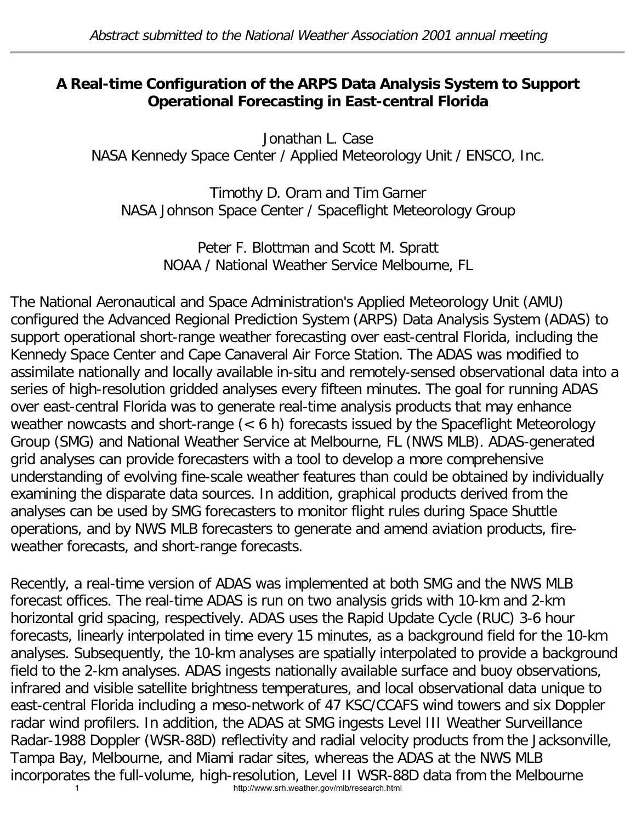## **A Real-time Configuration of the ARPS Data Analysis System to Support Operational Forecasting in East-central Florida**

Jonathan L. Case NASA Kennedy Space Center / Applied Meteorology Unit / ENSCO, Inc.

Timothy D. Oram and Tim Garner NASA Johnson Space Center / Spaceflight Meteorology Group

> Peter F. Blottman and Scott M. Spratt NOAA / National Weather Service Melbourne, FL

The National Aeronautical and Space Administration's Applied Meteorology Unit (AMU) configured the Advanced Regional Prediction System (ARPS) Data Analysis System (ADAS) to support operational short-range weather forecasting over east-central Florida, including the Kennedy Space Center and Cape Canaveral Air Force Station. The ADAS was modified to assimilate nationally and locally available in-situ and remotely-sensed observational data into a series of high-resolution gridded analyses every fifteen minutes. The goal for running ADAS over east-central Florida was to generate real-time analysis products that may enhance weather nowcasts and short-range (< 6 h) forecasts issued by the Spaceflight Meteorology Group (SMG) and National Weather Service at Melbourne, FL (NWS MLB). ADAS-generated grid analyses can provide forecasters with a tool to develop a more comprehensive understanding of evolving fine-scale weather features than could be obtained by individually examining the disparate data sources. In addition, graphical products derived from the analyses can be used by SMG forecasters to monitor flight rules during Space Shuttle operations, and by NWS MLB forecasters to generate and amend aviation products, fireweather forecasts, and short-range forecasts.

Recently, a real-time version of ADAS was implemented at both SMG and the NWS MLB forecast offices. The real-time ADAS is run on two analysis grids with 10-km and 2-km horizontal grid spacing, respectively. ADAS uses the Rapid Update Cycle (RUC) 3-6 hour forecasts, linearly interpolated in time every 15 minutes, as a background field for the 10-km analyses. Subsequently, the 10-km analyses are spatially interpolated to provide a background field to the 2-km analyses. ADAS ingests nationally available surface and buoy observations, infrared and visible satellite brightness temperatures, and local observational data unique to east-central Florida including a meso-network of 47 KSC/CCAFS wind towers and six Doppler radar wind profilers. In addition, the ADAS at SMG ingests Level III Weather Surveillance Radar-1988 Doppler (WSR-88D) reflectivity and radial velocity products from the Jacksonville, Tampa Bay, Melbourne, and Miami radar sites, whereas the ADAS at the NWS MLB incorporates the full-volume, high-resolution, Level II WSR-88D data from the Melbourne